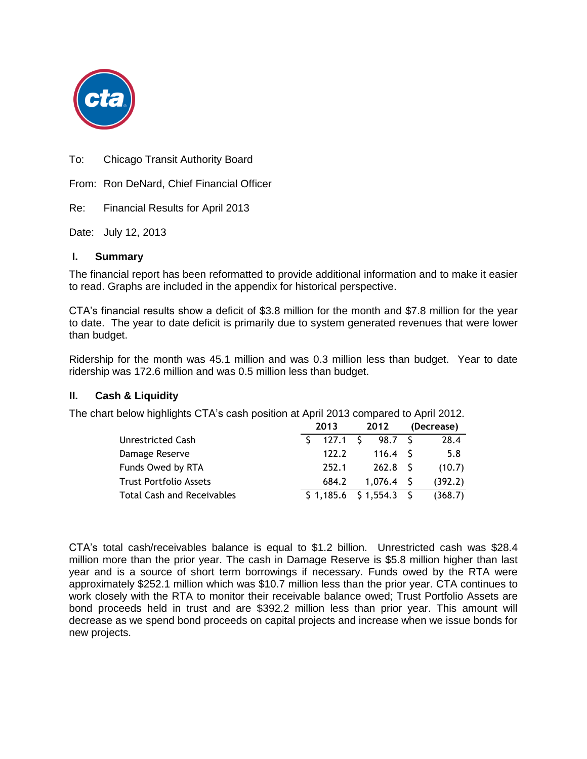

To: Chicago Transit Authority Board

From: Ron DeNard, Chief Financial Officer

Re: Financial Results for April 2013

Date: July 12, 2013

#### **I. Summary**

The financial report has been reformatted to provide additional information and to make it easier to read. Graphs are included in the appendix for historical perspective.

CTA's financial results show a deficit of \$3.8 million for the month and \$7.8 million for the year to date. The year to date deficit is primarily due to system generated revenues that were lower than budget.

Ridership for the month was 45.1 million and was 0.3 million less than budget. Year to date ridership was 172.6 million and was 0.5 million less than budget.

#### **II. Cash & Liquidity**

The chart below highlights CTA's cash position at April 2013 compared to April 2012.

|                                   | 2013 |                          | 2012 |             | (Decrease) |         |
|-----------------------------------|------|--------------------------|------|-------------|------------|---------|
| <b>Unrestricted Cash</b>          |      | 127.1 S                  |      | 98.7 S      |            | 28.4    |
| Damage Reserve                    |      | 122.2                    |      | 116.4 S     |            | 5.8     |
| Funds Owed by RTA                 |      | 252.1                    |      | 262.8 S     |            | (10.7)  |
| <b>Trust Portfolio Assets</b>     |      | 684.2                    |      | $1.076.4$ S |            | (392.2) |
| <b>Total Cash and Receivables</b> |      | $$1,185.6$ $$1,554.3$ \$ |      |             |            | (368.7) |

CTA's total cash/receivables balance is equal to \$1.2 billion. Unrestricted cash was \$28.4 million more than the prior year. The cash in Damage Reserve is \$5.8 million higher than last year and is a source of short term borrowings if necessary. Funds owed by the RTA were approximately \$252.1 million which was \$10.7 million less than the prior year. CTA continues to work closely with the RTA to monitor their receivable balance owed; Trust Portfolio Assets are bond proceeds held in trust and are \$392.2 million less than prior year. This amount will decrease as we spend bond proceeds on capital projects and increase when we issue bonds for new projects.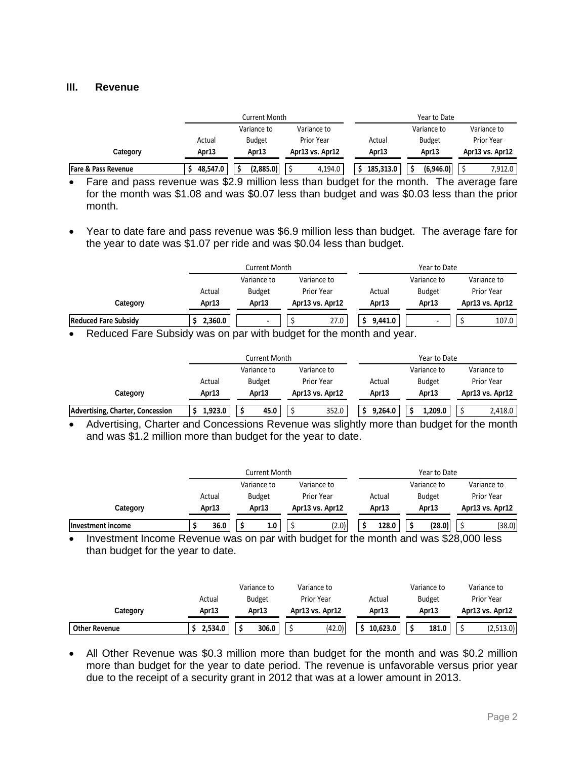#### **III. Revenue**

|                                |          | Current Month |                   |           | Year to Date  |                 |
|--------------------------------|----------|---------------|-------------------|-----------|---------------|-----------------|
|                                |          | Variance to   | Variance to       |           | Variance to   | Variance to     |
|                                | Actual   | <b>Budget</b> | <b>Prior Year</b> | Actual    | <b>Budget</b> | Prior Year      |
| Category                       | Apr13    | Apr13         | Apr13 vs. Apr12   | Apr13     | Apr13         | Apr13 vs. Apr12 |
| <b>Fare &amp; Pass Revenue</b> | 48.547.0 | (2,885.0)     | 4,194.0           | 185.313.0 | (6.946.0)     | 7,912.0         |

 Fare and pass revenue was \$2.9 million less than budget for the month. The average fare for the month was \$1.08 and was \$0.07 less than budget and was \$0.03 less than the prior month.

 Year to date fare and pass revenue was \$6.9 million less than budget. The average fare for the year to date was \$1.07 per ride and was \$0.04 less than budget.

|                                 |                      | <b>Current Month</b> |                 | Year to Date |               |                 |  |
|---------------------------------|----------------------|----------------------|-----------------|--------------|---------------|-----------------|--|
|                                 |                      | Variance to          | Variance to     |              | Variance to   | Variance to     |  |
|                                 | Actual               | <b>Budget</b>        | Prior Year      | Actual       | <b>Budget</b> | Prior Year      |  |
| Category                        | Apr13                | Apr13                | Apr13 vs. Apr12 | Apr13        | Apr13         | Apr13 vs. Apr12 |  |
| <b>Reduced Fare Subsidy</b>     | 2,360.0              | $\mathbf{r}$         | 27.0            | 9,441.0      |               | 107.0           |  |
| $-$<br>$\overline{\phantom{a}}$ | $\sim$ $\sim$ $\sim$ |                      | .               | .            |               |                 |  |

• Reduced Fare Subsidy was on par with budget for the month and year.

|                                  |         | Current Month |                 |         | Year to Date  |                 |
|----------------------------------|---------|---------------|-----------------|---------|---------------|-----------------|
|                                  |         | Variance to   | Variance to     |         | Variance to   | Variance to     |
|                                  | Actual  | <b>Budget</b> | Prior Year      | Actual  | <b>Budget</b> | Prior Year      |
| Category                         | Apr13   | Apr13         | Apr13 vs. Apr12 | Apr13   | Apr13         | Apr13 vs. Apr12 |
| Advertising, Charter, Concession | 1,923.0 | 45.0          | 352.0           | 9,264.0 | 1,209.0       | 2,418.0         |

• Advertising, Charter and Concessions Revenue was slightly more than budget for the month and was \$1.2 million more than budget for the year to date.

|                   | Current Month |  |               |  | Year to Date      |  |        |  |               |                   |
|-------------------|---------------|--|---------------|--|-------------------|--|--------|--|---------------|-------------------|
|                   |               |  | Variance to   |  | Variance to       |  |        |  | Variance to   | Variance to       |
|                   | Actual        |  | <b>Budget</b> |  | <b>Prior Year</b> |  | Actual |  | <b>Budget</b> | <b>Prior Year</b> |
| Category          | Apr13         |  | Apr13         |  | Apr13 vs. Apr12   |  | Apr13  |  | Apr13         | Apr13 vs. Apr12   |
| Investment income | 36.0          |  | 1.0           |  | (2.0)             |  | 128.0  |  | (28.0)        | (38.0)            |

• Investment Income Revenue was on par with budget for the month and was \$28,000 less than budget for the year to date.

|                      |         | Variance to   | Variance to     |          | Variance to   | Variance to     |
|----------------------|---------|---------------|-----------------|----------|---------------|-----------------|
|                      | Actual  | <b>Budget</b> | Prior Year      | Actual   | <b>Budget</b> | Prior Year      |
| Category             | Apr13   | Apr13         | Apr13 vs. Apr12 | Apr13    | Apr13         | Apr13 vs. Apr12 |
| <b>Other Revenue</b> | 2,534.0 | 306.0<br>د    | (42.0)          | 10.623.0 | 181.0         | (2,513.0)       |

• All Other Revenue was \$0.3 million more than budget for the month and was \$0.2 million more than budget for the year to date period. The revenue is unfavorable versus prior year due to the receipt of a security grant in 2012 that was at a lower amount in 2013.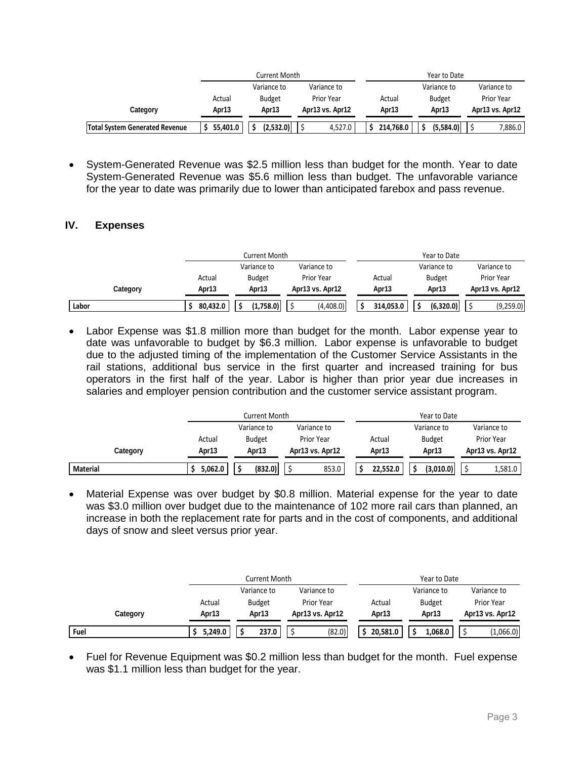|                                       |          | Current Month |                   |           | Year to Date  |                   |  |  |
|---------------------------------------|----------|---------------|-------------------|-----------|---------------|-------------------|--|--|
|                                       |          | Variance to   | Variance to       |           | Variance to   | Variance to       |  |  |
|                                       | Actual   | <b>Budget</b> | <b>Prior Year</b> | Actual    | <b>Budget</b> | <b>Prior Year</b> |  |  |
| Category                              | Apr13    | Apr13         | Apr13 vs. Apr12   | Apr13     | Apr13         | Apr13 vs. Apr12   |  |  |
| <b>Total System Generated Revenue</b> | 55,401.0 | (2,532.0)     | 4.527.0           | 214.768.0 | (5.584.0)     | 7,886.0           |  |  |

 System-Generated Revenue was \$2.5 million less than budget for the month. Year to date System-Generated Revenue was \$5.6 million less than budget. The unfavorable variance for the year to date was primarily due to lower than anticipated farebox and pass revenue.

#### **IV. Expenses**

|          |          | Current Month |                   |           | Year to Date  |                 |
|----------|----------|---------------|-------------------|-----------|---------------|-----------------|
|          |          | Variance to   | Variance to       |           | Variance to   | Variance to     |
|          | Actual   | <b>Budget</b> | <b>Prior Year</b> | Actual    | <b>Budget</b> | Prior Year      |
| Category | Apr13    | Apr13         | Apr13 vs. Apr12   | Apr13     | Apr13         | Apr13 vs. Apr12 |
| Labor    | 80.432.0 | (1.758.0)     | (4,408.0)         | 314.053.0 | (6,320.0)     | (9,259.0)       |

 Labor Expense was \$1.8 million more than budget for the month. Labor expense year to date was unfavorable to budget by \$6.3 million. Labor expense is unfavorable to budget due to the adjusted timing of the implementation of the Customer Service Assistants in the rail stations, additional bus service in the first quarter and increased training for bus operators in the first half of the year. Labor is higher than prior year due increases in salaries and employer pension contribution and the customer service assistant program.

|                 |         | Current Month |                 |                   | Year to Date  |                 |
|-----------------|---------|---------------|-----------------|-------------------|---------------|-----------------|
|                 |         | Variance to   | Variance to     |                   | Variance to   | Variance to     |
|                 | Actual  | <b>Budget</b> | Prior Year      | Actual            | <b>Budget</b> | Prior Year      |
| Category        | Apr13   | Apr13         | Apr13 vs. Apr12 | Apr <sub>13</sub> | Apr13         | Apr13 vs. Apr12 |
| <b>Material</b> | 5,062.0 | (832.0)       | 853.0           | 22,552.0          | (3.010.0)     | 1,581.0         |

 Material Expense was over budget by \$0.8 million. Material expense for the year to date was \$3.0 million over budget due to the maintenance of 102 more rail cars than planned, an increase in both the replacement rate for parts and in the cost of components, and additional days of snow and sleet versus prior year.

|          |         | Current Month |                 |          | Year to Date  |                 |
|----------|---------|---------------|-----------------|----------|---------------|-----------------|
|          |         | Variance to   | Variance to     |          | Variance to   | Variance to     |
|          | Actual  | <b>Budget</b> | Prior Year      | Actual   | <b>Budget</b> | Prior Year      |
| Category | Apr13   | Apr13         | Apr13 vs. Apr12 | Apr13    | Apr13         | Apr13 vs. Apr12 |
| Fuel     | 5,249.0 | 237.0         | (82.0)          | 20.581.0 | 1,068.0       | (1,066.0)       |

 Fuel for Revenue Equipment was \$0.2 million less than budget for the month. Fuel expense was \$1.1 million less than budget for the year.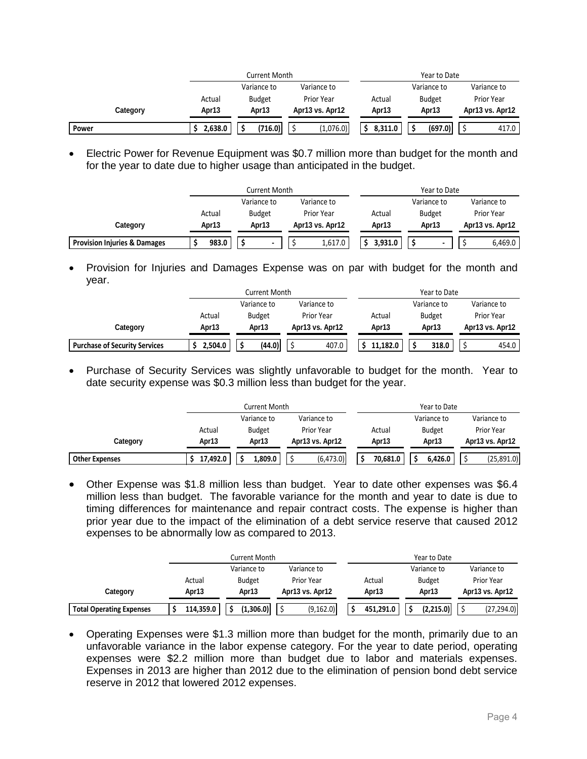|          |         | Current Month |                   |                   | Year to Date  |                 |
|----------|---------|---------------|-------------------|-------------------|---------------|-----------------|
|          |         | Variance to   | Variance to       |                   | Variance to   | Variance to     |
|          | Actual  | <b>Budget</b> | <b>Prior Year</b> | Actual            | <b>Budget</b> | Prior Year      |
| Category | Apr13   | Apr13         | Apr13 vs. Apr12   | Apr <sub>13</sub> | Apr13         | Apr13 vs. Apr12 |
| Power    | 2,638.0 | (716.0)       | (1,076.0)         | 8,311.0           | (697.0)       | 417.0           |

 Electric Power for Revenue Equipment was \$0.7 million more than budget for the month and for the year to date due to higher usage than anticipated in the budget.

|                                         |        | Current Month |                   |         | Year to Date  |                   |
|-----------------------------------------|--------|---------------|-------------------|---------|---------------|-------------------|
|                                         |        | Variance to   | Variance to       |         | Variance to   | Variance to       |
|                                         | Actual | <b>Budget</b> | <b>Prior Year</b> | Actual  | <b>Budget</b> | <b>Prior Year</b> |
| Category                                | Apr13  | Apr13         | Apr13 vs. Apr12   | Apr13   | Apr13         | Apr13 vs. Apr12   |
| <b>Provision Injuries &amp; Damages</b> | 983.0  |               | 1,617.0           | 3.931.0 |               | 6,469.0           |

• Provision for Injuries and Damages Expense was on par with budget for the month and year.

|                                      | Current Month |               |                   | Year to Date |               |                   |
|--------------------------------------|---------------|---------------|-------------------|--------------|---------------|-------------------|
|                                      |               | Variance to   | Variance to       |              | Variance to   | Variance to       |
|                                      | Actual        | <b>Budget</b> | <b>Prior Year</b> | Actual       | <b>Budget</b> | <b>Prior Year</b> |
| Category                             | Apr13         | Apr13         | Apr13 vs. Apr12   | Apr13        | Apr13         | Apr13 vs. Apr12   |
| <b>Purchase of Security Services</b> | 2,504.0       | (44.0)        | 407.0             | 11.182.0     | 318.0         | 454.0             |

• Purchase of Security Services was slightly unfavorable to budget for the month. Year to date security expense was \$0.3 million less than budget for the year.

|                       | <b>Current Month</b> |                   |                 | Year to Date      |               |                   |
|-----------------------|----------------------|-------------------|-----------------|-------------------|---------------|-------------------|
|                       |                      | Variance to       | Variance to     |                   | Variance to   | Variance to       |
|                       | Actual               | <b>Budget</b>     | Prior Year      | Actual            | <b>Budget</b> | <b>Prior Year</b> |
| Category              | Apr13                | Apr <sub>13</sub> | Apr13 vs. Apr12 | Apr <sub>13</sub> | Apr13         | Apr13 vs. Apr12   |
| <b>Other Expenses</b> | 17,492.0             | 1,809.0           | (6,473.0)       | 70.681.0          | 6.426.0       | (25,891.0)        |

 Other Expense was \$1.8 million less than budget. Year to date other expenses was \$6.4 million less than budget. The favorable variance for the month and year to date is due to timing differences for maintenance and repair contract costs. The expense is higher than prior year due to the impact of the elimination of a debt service reserve that caused 2012 expenses to be abnormally low as compared to 2013.

|                                 | Current Month |               |                 | Year to Date |               |                   |
|---------------------------------|---------------|---------------|-----------------|--------------|---------------|-------------------|
|                                 |               | Variance to   | Variance to     |              | Variance to   | Variance to       |
|                                 | Actual        | <b>Budget</b> | Prior Year      | Actual       | <b>Budget</b> | <b>Prior Year</b> |
| Category                        | Apr13         | Apr13         | Apr13 vs. Apr12 | Apr13        | Apr13         | Apr13 vs. Apr12   |
| <b>Total Operating Expenses</b> | 114,359.0     | (1,306.0)     | (9, 162.0)      | 451,291.0    | (2,215.0)     | (27, 294.0)       |

 Operating Expenses were \$1.3 million more than budget for the month, primarily due to an unfavorable variance in the labor expense category. For the year to date period, operating expenses were \$2.2 million more than budget due to labor and materials expenses. Expenses in 2013 are higher than 2012 due to the elimination of pension bond debt service reserve in 2012 that lowered 2012 expenses.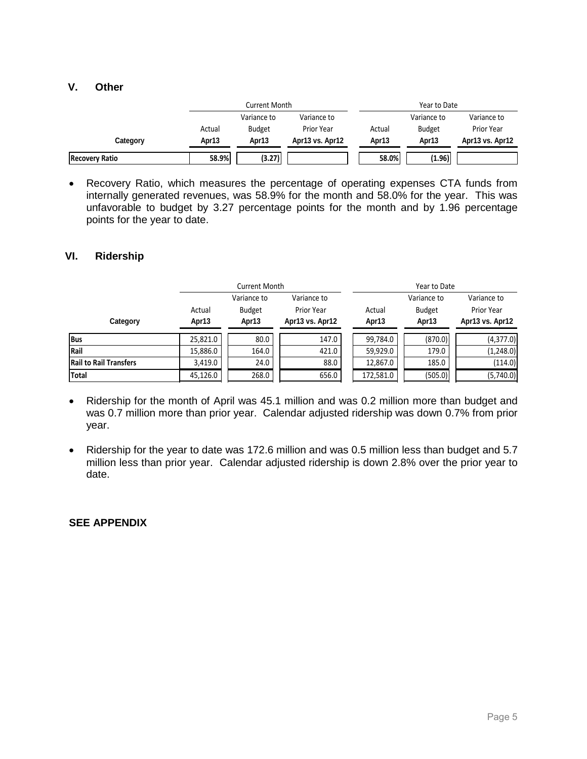#### **V. Other**

|                       | Current Month |               |                 | Year to Date |               |                 |
|-----------------------|---------------|---------------|-----------------|--------------|---------------|-----------------|
|                       |               | Variance to   | Variance to     |              | Variance to   | Variance to     |
|                       | Actual        | <b>Budget</b> | Prior Year      | Actual       | <b>Budget</b> | Prior Year      |
| Category              | Apr13         | Apr13         | Apr13 vs. Apr12 | Apr13        | Apr13         | Apr13 vs. Apr12 |
| <b>Recovery Ratio</b> | 58.9%         | (3.27)        |                 | 58.0%        | (1.96)        |                 |

 Recovery Ratio, which measures the percentage of operating expenses CTA funds from internally generated revenues, was 58.9% for the month and 58.0% for the year. This was unfavorable to budget by 3.27 percentage points for the month and by 1.96 percentage points for the year to date.

#### **VI. Ridership**

|                               |                 | <b>Current Month</b>                  |                                              | Year to Date    |                                       |                                                     |  |
|-------------------------------|-----------------|---------------------------------------|----------------------------------------------|-----------------|---------------------------------------|-----------------------------------------------------|--|
| Category                      | Actual<br>Apr13 | Variance to<br><b>Budget</b><br>Apr13 | Variance to<br>Prior Year<br>Apr13 vs. Apr12 | Actual<br>Apr13 | Variance to<br><b>Budget</b><br>Apr13 | Variance to<br><b>Prior Year</b><br>Apr13 vs. Apr12 |  |
| <b>Bus</b>                    | 25.821.0        | 80.0                                  | 147.0                                        | 99,784.0        | (870.0)                               | (4,377.0)                                           |  |
| Rail                          | 15,886.0        | 164.0                                 | 421.0                                        | 59,929.0        | 179.0                                 | (1,248.0)                                           |  |
| <b>Rail to Rail Transfers</b> | 3,419.0         | 24.0                                  | 88.0                                         | 12,867.0        | 185.0                                 | (114.0)                                             |  |
| <b>Total</b>                  | 45,126.0        | 268.0                                 | 656.0                                        | 172,581.0       | (505.0)                               | (5,740.0)                                           |  |

- Ridership for the month of April was 45.1 million and was 0.2 million more than budget and was 0.7 million more than prior year. Calendar adjusted ridership was down 0.7% from prior year.
- Ridership for the year to date was 172.6 million and was 0.5 million less than budget and 5.7 million less than prior year. Calendar adjusted ridership is down 2.8% over the prior year to date.

#### **SEE APPENDIX**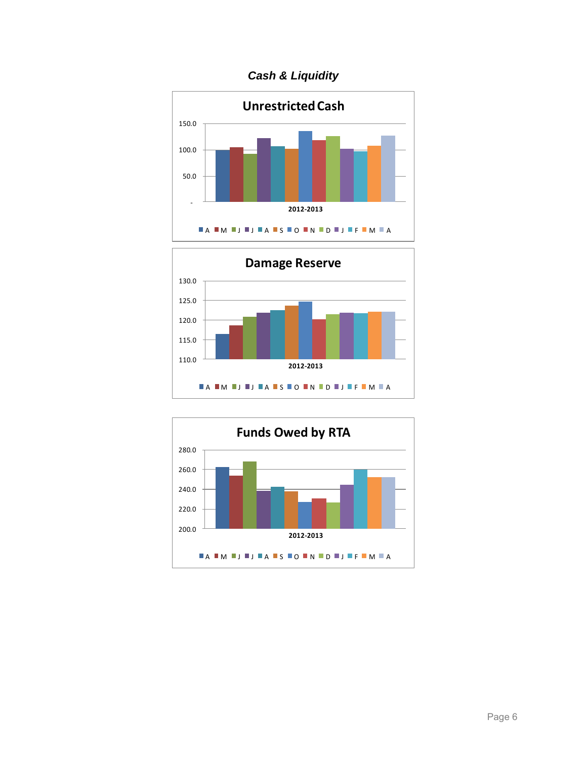*Cash & Liquidity*





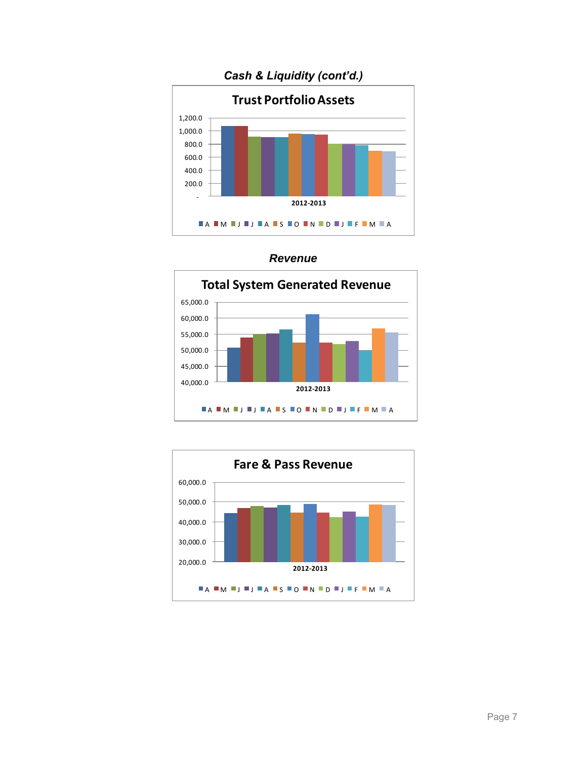





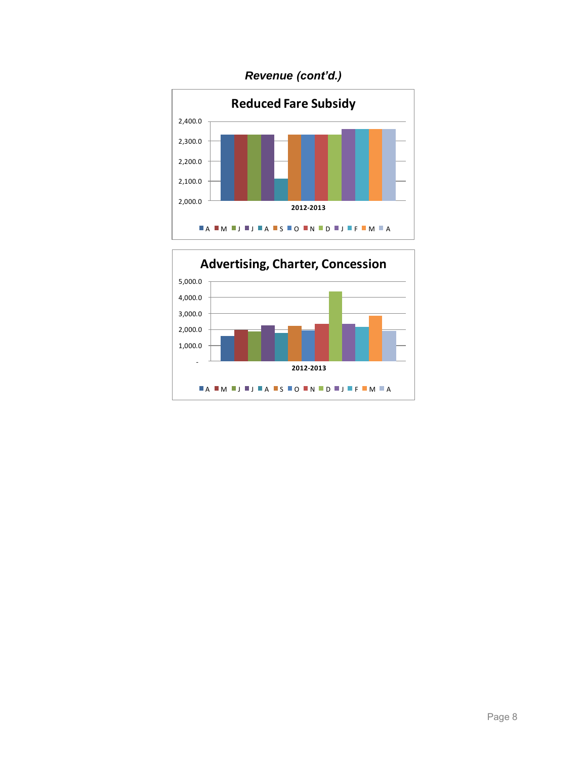# *Revenue (cont'd.)*



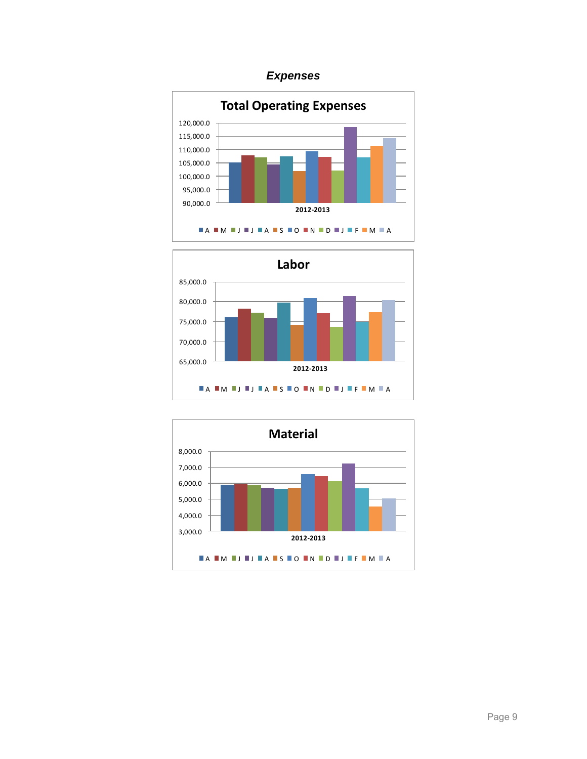### *Expenses*